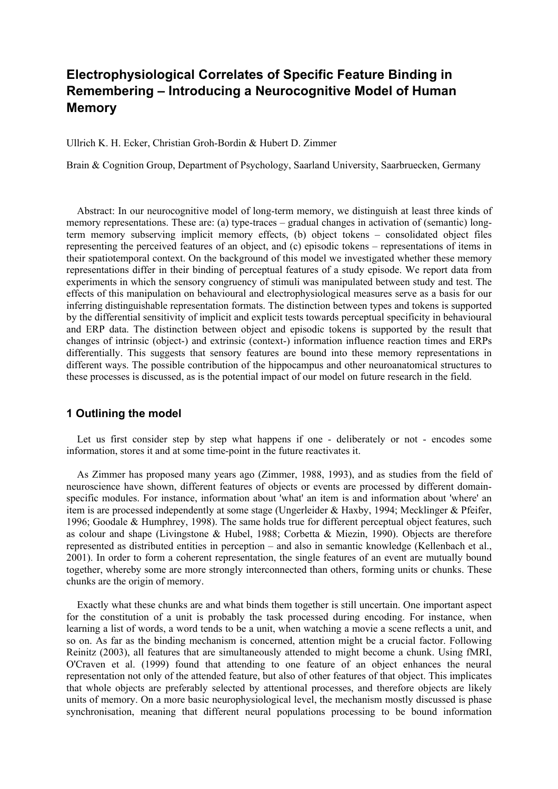# **Electrophysiological Correlates of Specific Feature Binding in Remembering – Introducing a Neurocognitive Model of Human Memory**

Ullrich K. H. Ecker, Christian Groh-Bordin & Hubert D. Zimmer

Brain & Cognition Group, Department of Psychology, Saarland University, Saarbruecken, Germany

Abstract: In our neurocognitive model of long-term memory, we distinguish at least three kinds of memory representations. These are: (a) type-traces – gradual changes in activation of (semantic) longterm memory subserving implicit memory effects, (b) object tokens – consolidated object files representing the perceived features of an object, and (c) episodic tokens – representations of items in their spatiotemporal context. On the background of this model we investigated whether these memory representations differ in their binding of perceptual features of a study episode. We report data from experiments in which the sensory congruency of stimuli was manipulated between study and test. The effects of this manipulation on behavioural and electrophysiological measures serve as a basis for our inferring distinguishable representation formats. The distinction between types and tokens is supported by the differential sensitivity of implicit and explicit tests towards perceptual specificity in behavioural and ERP data. The distinction between object and episodic tokens is supported by the result that changes of intrinsic (object-) and extrinsic (context-) information influence reaction times and ERPs differentially. This suggests that sensory features are bound into these memory representations in different ways. The possible contribution of the hippocampus and other neuroanatomical structures to these processes is discussed, as is the potential impact of our model on future research in the field.

# **1 Outlining the model**

Let us first consider step by step what happens if one - deliberately or not - encodes some information, stores it and at some time-point in the future reactivates it.

As Zimmer has proposed many years ago (Zimmer, 1988, 1993), and as studies from the field of neuroscience have shown, different features of objects or events are processed by different domainspecific modules. For instance, information about 'what' an item is and information about 'where' an item is are processed independently at some stage (Ungerleider & Haxby, 1994; Mecklinger & Pfeifer, 1996; Goodale & Humphrey, 1998). The same holds true for different perceptual object features, such as colour and shape (Livingstone & Hubel, 1988; Corbetta & Miezin, 1990). Objects are therefore represented as distributed entities in perception – and also in semantic knowledge (Kellenbach et al., 2001). In order to form a coherent representation, the single features of an event are mutually bound together, whereby some are more strongly interconnected than others, forming units or chunks. These chunks are the origin of memory.

Exactly what these chunks are and what binds them together is still uncertain. One important aspect for the constitution of a unit is probably the task processed during encoding. For instance, when learning a list of words, a word tends to be a unit, when watching a movie a scene reflects a unit, and so on. As far as the binding mechanism is concerned, attention might be a crucial factor. Following Reinitz (2003), all features that are simultaneously attended to might become a chunk. Using fMRI, O'Craven et al. (1999) found that attending to one feature of an object enhances the neural representation not only of the attended feature, but also of other features of that object. This implicates that whole objects are preferably selected by attentional processes, and therefore objects are likely units of memory. On a more basic neurophysiological level, the mechanism mostly discussed is phase synchronisation, meaning that different neural populations processing to be bound information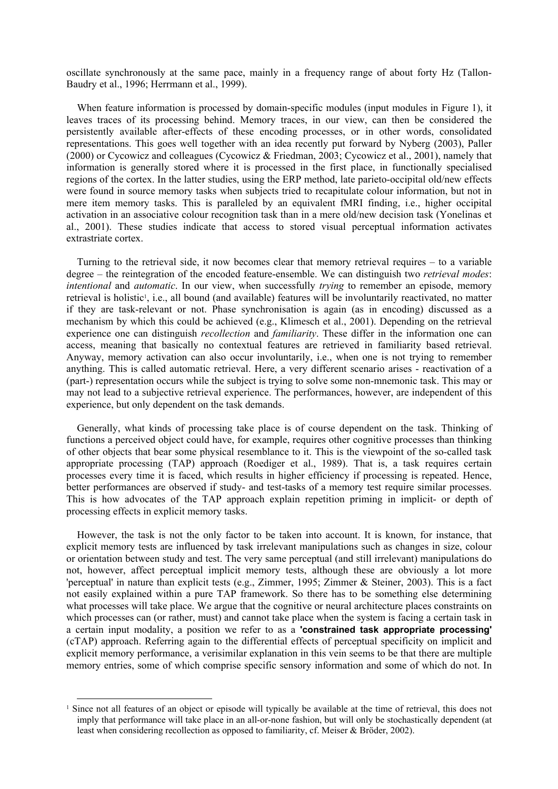oscillate synchronously at the same pace, mainly in a frequency range of about forty Hz (Tallon-Baudry et al., 1996; Herrmann et al., 1999).

When feature information is processed by domain-specific modules (input modules in Figure 1), it leaves traces of its processing behind. Memory traces, in our view, can then be considered the persistently available after-effects of these encoding processes, or in other words, consolidated representations. This goes well together with an idea recently put forward by Nyberg (2003), Paller (2000) or Cycowicz and colleagues (Cycowicz & Friedman, 2003; Cycowicz et al., 2001), namely that information is generally stored where it is processed in the first place, in functionally specialised regions of the cortex. In the latter studies, using the ERP method, late parieto-occipital old/new effects were found in source memory tasks when subjects tried to recapitulate colour information, but not in mere item memory tasks. This is paralleled by an equivalent fMRI finding, i.e., higher occipital activation in an associative colour recognition task than in a mere old/new decision task (Yonelinas et al., 2001). These studies indicate that access to stored visual perceptual information activates extrastriate cortex.

Turning to the retrieval side, it now becomes clear that memory retrieval requires – to a variable degree – the reintegration of the encoded feature-ensemble. We can distinguish two *retrieval modes*: *intentional* and *automatic*. In our view, when successfully *trying* to remember an episode, memory retrieval is holistic<sup>1</sup>, i.e., all bound (and available) features will be involuntarily reactivated, no matter if they are task-relevant or not. Phase synchronisation is again (as in encoding) discussed as a mechanism by which this could be achieved (e.g., Klimesch et al., 2001). Depending on the retrieval experience one can distinguish *recollection* and *familiarity*. These differ in the information one can access, meaning that basically no contextual features are retrieved in familiarity based retrieval. Anyway, memory activation can also occur involuntarily, i.e., when one is not trying to remember anything. This is called automatic retrieval. Here, a very different scenario arises - reactivation of a (part-) representation occurs while the subject is trying to solve some non-mnemonic task. This may or may not lead to a subjective retrieval experience. The performances, however, are independent of this experience, but only dependent on the task demands.

Generally, what kinds of processing take place is of course dependent on the task. Thinking of functions a perceived object could have, for example, requires other cognitive processes than thinking of other objects that bear some physical resemblance to it. This is the viewpoint of the so-called task appropriate processing (TAP) approach (Roediger et al., 1989). That is, a task requires certain processes every time it is faced, which results in higher efficiency if processing is repeated. Hence, better performances are observed if study- and test-tasks of a memory test require similar processes. This is how advocates of the TAP approach explain repetition priming in implicit- or depth of processing effects in explicit memory tasks.

However, the task is not the only factor to be taken into account. It is known, for instance, that explicit memory tests are influenced by task irrelevant manipulations such as changes in size, colour or orientation between study and test. The very same perceptual (and still irrelevant) manipulations do not, however, affect perceptual implicit memory tests, although these are obviously a lot more 'perceptual' in nature than explicit tests (e.g., Zimmer, 1995; Zimmer & Steiner, 2003). This is a fact not easily explained within a pure TAP framework. So there has to be something else determining what processes will take place. We argue that the cognitive or neural architecture places constraints on which processes can (or rather, must) and cannot take place when the system is facing a certain task in a certain input modality, a position we refer to as a **'constrained task appropriate processing'** (cTAP) approach. Referring again to the differential effects of perceptual specificity on implicit and explicit memory performance, a verisimilar explanation in this vein seems to be that there are multiple memory entries, some of which comprise specific sensory information and some of which do not. In

<span id="page-1-0"></span><sup>&</sup>lt;sup>1</sup> Since not all features of an object or episode will typically be available at the time of retrieval, this does not imply that performance will take place in an all-or-none fashion, but will only be stochastically dependent (at least when considering recollection as opposed to familiarity, cf. Meiser & Bröder, 2002).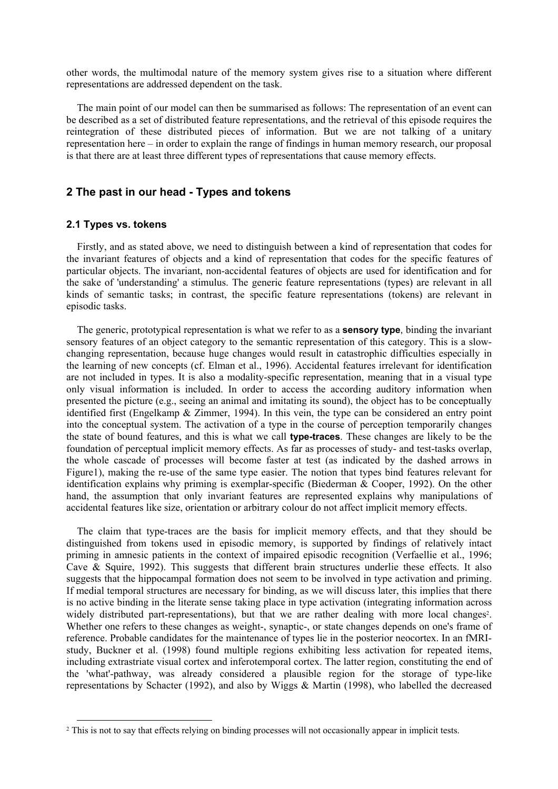other words, the multimodal nature of the memory system gives rise to a situation where different representations are addressed dependent on the task.

The main point of our model can then be summarised as follows: The representation of an event can be described as a set of distributed feature representations, and the retrieval of this episode requires the reintegration of these distributed pieces of information. But we are not talking of a unitary representation here – in order to explain the range of findings in human memory research, our proposal is that there are at least three different types of representations that cause memory effects.

# **2 The past in our head - Types and tokens**

# **2.1 Types vs. tokens**

Firstly, and as stated above, we need to distinguish between a kind of representation that codes for the invariant features of objects and a kind of representation that codes for the specific features of particular objects. The invariant, non-accidental features of objects are used for identification and for the sake of 'understanding' a stimulus. The generic feature representations (types) are relevant in all kinds of semantic tasks; in contrast, the specific feature representations (tokens) are relevant in episodic tasks.

The generic, prototypical representation is what we refer to as a **sensory type**, binding the invariant sensory features of an object category to the semantic representation of this category. This is a slowchanging representation, because huge changes would result in catastrophic difficulties especially in the learning of new concepts (cf. Elman et al., 1996). Accidental features irrelevant for identification are not included in types. It is also a modality-specific representation, meaning that in a visual type only visual information is included. In order to access the according auditory information when presented the picture (e.g., seeing an animal and imitating its sound), the object has to be conceptually identified first (Engelkamp & Zimmer, 1994). In this vein, the type can be considered an entry point into the conceptual system. The activation of a type in the course of perception temporarily changes the state of bound features, and this is what we call **type-traces**. These changes are likely to be the foundation of perceptual implicit memory effects. As far as processes of study- and test-tasks overlap, the whole cascade of processes will become faster at test (as indicated by the dashed arrows in Figure1), making the re-use of the same type easier. The notion that types bind features relevant for identification explains why priming is exemplar-specific (Biederman & Cooper, 1992). On the other hand, the assumption that only invariant features are represented explains why manipulations of accidental features like size, orientation or arbitrary colour do not affect implicit memory effects.

The claim that type-traces are the basis for implicit memory effects, and that they should be distinguished from tokens used in episodic memory, is supported by findings of relatively intact priming in amnesic patients in the context of impaired episodic recognition (Verfaellie et al., 1996; Cave & Squire, 1992). This suggests that different brain structures underlie these effects. It also suggests that the hippocampal formation does not seem to be involved in type activation and priming. If medial temporal structures are necessary for binding, as we will discuss later, this implies that there is no active binding in the literate sense taking place in type activation (integrating information across widely distributed part-representations), but that we are rather dealing with more local changes<sup>2</sup>. Whether one refers to these changes as weight-, synaptic-, or state changes depends on one's frame of reference. Probable candidates for the maintenance of types lie in the posterior neocortex. In an fMRIstudy, Buckner et al. (1998) found multiple regions exhibiting less activation for repeated items, including extrastriate visual cortex and inferotemporal cortex. The latter region, constituting the end of the 'what'-pathway, was already considered a plausible region for the storage of type-like representations by Schacter (1992), and also by Wiggs & Martin (1998), who labelled the decreased

<span id="page-2-0"></span> <sup>2</sup> This is not to say that effects relying on binding processes will not occasionally appear in implicit tests.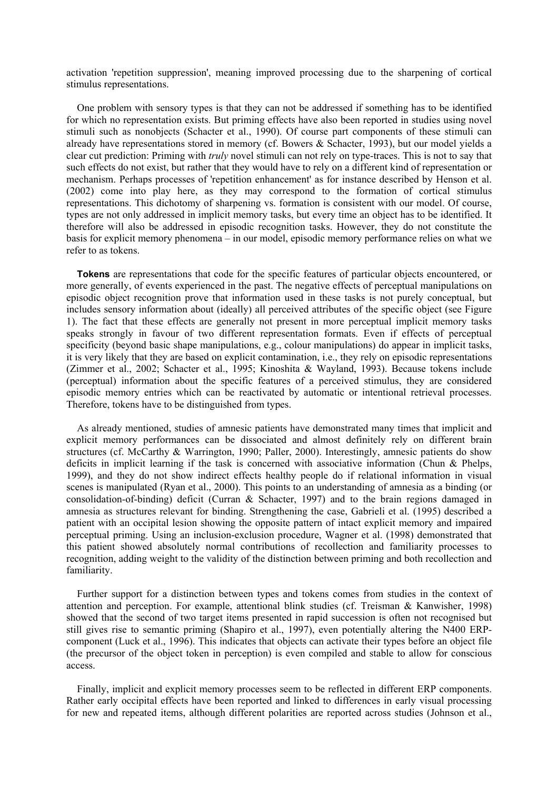activation 'repetition suppression', meaning improved processing due to the sharpening of cortical stimulus representations.

One problem with sensory types is that they can not be addressed if something has to be identified for which no representation exists. But priming effects have also been reported in studies using novel stimuli such as nonobjects (Schacter et al., 1990). Of course part components of these stimuli can already have representations stored in memory (cf. Bowers & Schacter, 1993), but our model yields a clear cut prediction: Priming with *truly* novel stimuli can not rely on type-traces. This is not to say that such effects do not exist, but rather that they would have to rely on a different kind of representation or mechanism. Perhaps processes of 'repetition enhancement' as for instance described by Henson et al. (2002) come into play here, as they may correspond to the formation of cortical stimulus representations. This dichotomy of sharpening vs. formation is consistent with our model. Of course, types are not only addressed in implicit memory tasks, but every time an object has to be identified. It therefore will also be addressed in episodic recognition tasks. However, they do not constitute the basis for explicit memory phenomena – in our model, episodic memory performance relies on what we refer to as tokens.

**Tokens** are representations that code for the specific features of particular objects encountered, or more generally, of events experienced in the past. The negative effects of perceptual manipulations on episodic object recognition prove that information used in these tasks is not purely conceptual, but includes sensory information about (ideally) all perceived attributes of the specific object (see Figure 1). The fact that these effects are generally not present in more perceptual implicit memory tasks speaks strongly in favour of two different representation formats. Even if effects of perceptual specificity (beyond basic shape manipulations, e.g., colour manipulations) do appear in implicit tasks, it is very likely that they are based on explicit contamination, i.e., they rely on episodic representations (Zimmer et al., 2002; Schacter et al., 1995; Kinoshita & Wayland, 1993). Because tokens include (perceptual) information about the specific features of a perceived stimulus, they are considered episodic memory entries which can be reactivated by automatic or intentional retrieval processes. Therefore, tokens have to be distinguished from types.

As already mentioned, studies of amnesic patients have demonstrated many times that implicit and explicit memory performances can be dissociated and almost definitely rely on different brain structures (cf. McCarthy & Warrington, 1990; Paller, 2000). Interestingly, amnesic patients do show deficits in implicit learning if the task is concerned with associative information (Chun & Phelps, 1999), and they do not show indirect effects healthy people do if relational information in visual scenes is manipulated (Ryan et al., 2000). This points to an understanding of amnesia as a binding (or consolidation-of-binding) deficit (Curran & Schacter, 1997) and to the brain regions damaged in amnesia as structures relevant for binding. Strengthening the case, Gabrieli et al. (1995) described a patient with an occipital lesion showing the opposite pattern of intact explicit memory and impaired perceptual priming. Using an inclusion-exclusion procedure, Wagner et al. (1998) demonstrated that this patient showed absolutely normal contributions of recollection and familiarity processes to recognition, adding weight to the validity of the distinction between priming and both recollection and familiarity.

Further support for a distinction between types and tokens comes from studies in the context of attention and perception. For example, attentional blink studies (cf. Treisman & Kanwisher, 1998) showed that the second of two target items presented in rapid succession is often not recognised but still gives rise to semantic priming (Shapiro et al., 1997), even potentially altering the N400 ERPcomponent (Luck et al., 1996). This indicates that objects can activate their types before an object file (the precursor of the object token in perception) is even compiled and stable to allow for conscious access.

Finally, implicit and explicit memory processes seem to be reflected in different ERP components. Rather early occipital effects have been reported and linked to differences in early visual processing for new and repeated items, although different polarities are reported across studies (Johnson et al.,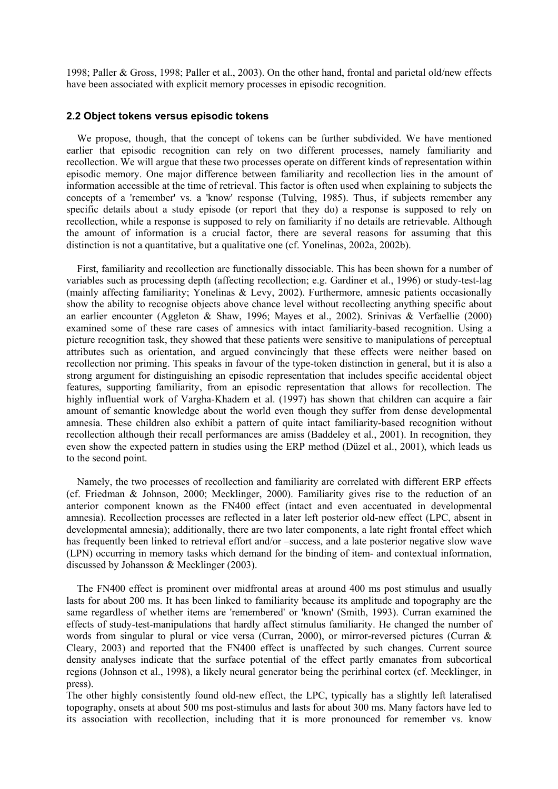1998; Paller & Gross, 1998; Paller et al., 2003). On the other hand, frontal and parietal old/new effects have been associated with explicit memory processes in episodic recognition.

#### **2.2 Object tokens versus episodic tokens**

We propose, though, that the concept of tokens can be further subdivided. We have mentioned earlier that episodic recognition can rely on two different processes, namely familiarity and recollection. We will argue that these two processes operate on different kinds of representation within episodic memory. One major difference between familiarity and recollection lies in the amount of information accessible at the time of retrieval. This factor is often used when explaining to subjects the concepts of a 'remember' vs. a 'know' response (Tulving, 1985). Thus, if subjects remember any specific details about a study episode (or report that they do) a response is supposed to rely on recollection, while a response is supposed to rely on familiarity if no details are retrievable. Although the amount of information is a crucial factor, there are several reasons for assuming that this distinction is not a quantitative, but a qualitative one (cf. Yonelinas, 2002a, 2002b).

First, familiarity and recollection are functionally dissociable. This has been shown for a number of variables such as processing depth (affecting recollection; e.g. Gardiner et al., 1996) or study-test-lag (mainly affecting familiarity; Yonelinas & Levy, 2002). Furthermore, amnesic patients occasionally show the ability to recognise objects above chance level without recollecting anything specific about an earlier encounter (Aggleton & Shaw, 1996; Mayes et al., 2002). Srinivas & Verfaellie (2000) examined some of these rare cases of amnesics with intact familiarity-based recognition. Using a picture recognition task, they showed that these patients were sensitive to manipulations of perceptual attributes such as orientation, and argued convincingly that these effects were neither based on recollection nor priming. This speaks in favour of the type-token distinction in general, but it is also a strong argument for distinguishing an episodic representation that includes specific accidental object features, supporting familiarity, from an episodic representation that allows for recollection. The highly influential work of Vargha-Khadem et al. (1997) has shown that children can acquire a fair amount of semantic knowledge about the world even though they suffer from dense developmental amnesia. These children also exhibit a pattern of quite intact familiarity-based recognition without recollection although their recall performances are amiss (Baddeley et al., 2001). In recognition, they even show the expected pattern in studies using the ERP method (Düzel et al., 2001), which leads us to the second point.

Namely, the two processes of recollection and familiarity are correlated with different ERP effects (cf. Friedman & Johnson, 2000; Mecklinger, 2000). Familiarity gives rise to the reduction of an anterior component known as the FN400 effect (intact and even accentuated in developmental amnesia). Recollection processes are reflected in a later left posterior old-new effect (LPC, absent in developmental amnesia); additionally, there are two later components, a late right frontal effect which has frequently been linked to retrieval effort and/or –success, and a late posterior negative slow wave (LPN) occurring in memory tasks which demand for the binding of item- and contextual information, discussed by Johansson & Mecklinger (2003).

The FN400 effect is prominent over midfrontal areas at around 400 ms post stimulus and usually lasts for about 200 ms. It has been linked to familiarity because its amplitude and topography are the same regardless of whether items are 'remembered' or 'known' (Smith, 1993). Curran examined the effects of study-test-manipulations that hardly affect stimulus familiarity. He changed the number of words from singular to plural or vice versa (Curran, 2000), or mirror-reversed pictures (Curran & Cleary, 2003) and reported that the FN400 effect is unaffected by such changes. Current source density analyses indicate that the surface potential of the effect partly emanates from subcortical regions (Johnson et al., 1998), a likely neural generator being the perirhinal cortex (cf. Mecklinger, in press).

The other highly consistently found old-new effect, the LPC, typically has a slightly left lateralised topography, onsets at about 500 ms post-stimulus and lasts for about 300 ms. Many factors have led to its association with recollection, including that it is more pronounced for remember vs. know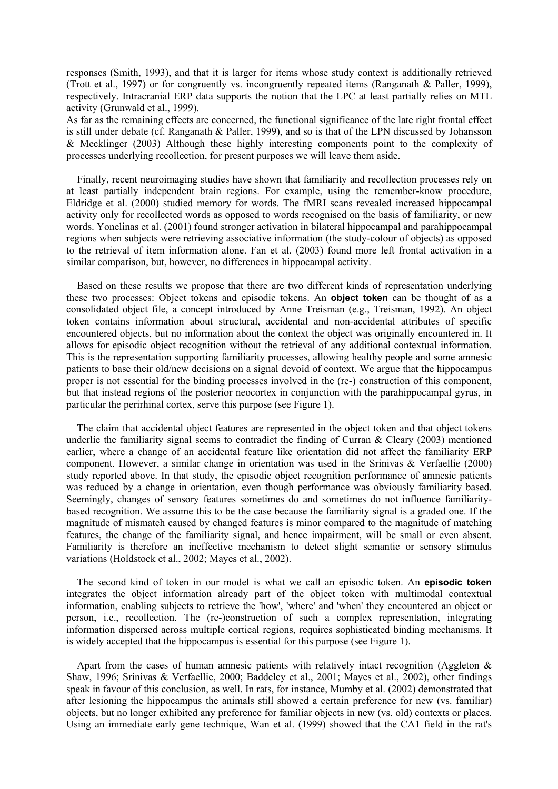responses (Smith, 1993), and that it is larger for items whose study context is additionally retrieved (Trott et al., 1997) or for congruently vs. incongruently repeated items (Ranganath & Paller, 1999), respectively. Intracranial ERP data supports the notion that the LPC at least partially relies on MTL activity (Grunwald et al., 1999).

As far as the remaining effects are concerned, the functional significance of the late right frontal effect is still under debate (cf. Ranganath & Paller, 1999), and so is that of the LPN discussed by Johansson & Mecklinger (2003) Although these highly interesting components point to the complexity of processes underlying recollection, for present purposes we will leave them aside.

Finally, recent neuroimaging studies have shown that familiarity and recollection processes rely on at least partially independent brain regions. For example, using the remember-know procedure, Eldridge et al. (2000) studied memory for words. The fMRI scans revealed increased hippocampal activity only for recollected words as opposed to words recognised on the basis of familiarity, or new words. Yonelinas et al. (2001) found stronger activation in bilateral hippocampal and parahippocampal regions when subjects were retrieving associative information (the study-colour of objects) as opposed to the retrieval of item information alone. Fan et al. (2003) found more left frontal activation in a similar comparison, but, however, no differences in hippocampal activity.

Based on these results we propose that there are two different kinds of representation underlying these two processes: Object tokens and episodic tokens. An **object token** can be thought of as a consolidated object file, a concept introduced by Anne Treisman (e.g., Treisman, 1992). An object token contains information about structural, accidental and non-accidental attributes of specific encountered objects, but no information about the context the object was originally encountered in. It allows for episodic object recognition without the retrieval of any additional contextual information. This is the representation supporting familiarity processes, allowing healthy people and some amnesic patients to base their old/new decisions on a signal devoid of context. We argue that the hippocampus proper is not essential for the binding processes involved in the (re-) construction of this component, but that instead regions of the posterior neocortex in conjunction with the parahippocampal gyrus, in particular the perirhinal cortex, serve this purpose (see Figure 1).

The claim that accidental object features are represented in the object token and that object tokens underlie the familiarity signal seems to contradict the finding of Curran  $&$  Cleary (2003) mentioned earlier, where a change of an accidental feature like orientation did not affect the familiarity ERP component. However, a similar change in orientation was used in the Srinivas & Verfaellie (2000) study reported above. In that study, the episodic object recognition performance of amnesic patients was reduced by a change in orientation, even though performance was obviously familiarity based. Seemingly, changes of sensory features sometimes do and sometimes do not influence familiaritybased recognition. We assume this to be the case because the familiarity signal is a graded one. If the magnitude of mismatch caused by changed features is minor compared to the magnitude of matching features, the change of the familiarity signal, and hence impairment, will be small or even absent. Familiarity is therefore an ineffective mechanism to detect slight semantic or sensory stimulus variations (Holdstock et al., 2002; Mayes et al., 2002).

The second kind of token in our model is what we call an episodic token. An **episodic token** integrates the object information already part of the object token with multimodal contextual information, enabling subjects to retrieve the 'how', 'where' and 'when' they encountered an object or person, i.e., recollection. The (re-)construction of such a complex representation, integrating information dispersed across multiple cortical regions, requires sophisticated binding mechanisms. It is widely accepted that the hippocampus is essential for this purpose (see Figure 1).

Apart from the cases of human amnesic patients with relatively intact recognition (Aggleton  $\&$ Shaw, 1996; Srinivas & Verfaellie, 2000; Baddeley et al., 2001; Mayes et al., 2002), other findings speak in favour of this conclusion, as well. In rats, for instance, Mumby et al. (2002) demonstrated that after lesioning the hippocampus the animals still showed a certain preference for new (vs. familiar) objects, but no longer exhibited any preference for familiar objects in new (vs. old) contexts or places. Using an immediate early gene technique, Wan et al. (1999) showed that the CA1 field in the rat's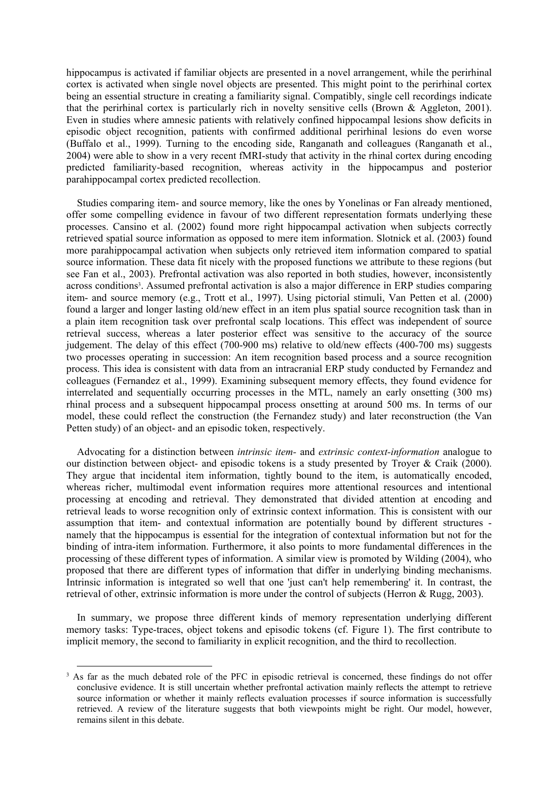hippocampus is activated if familiar objects are presented in a novel arrangement, while the perirhinal cortex is activated when single novel objects are presented. This might point to the perirhinal cortex being an essential structure in creating a familiarity signal. Compatibly, single cell recordings indicate that the perirhinal cortex is particularly rich in novelty sensitive cells (Brown & Aggleton, 2001). Even in studies where amnesic patients with relatively confined hippocampal lesions show deficits in episodic object recognition, patients with confirmed additional perirhinal lesions do even worse (Buffalo et al., 1999). Turning to the encoding side, Ranganath and colleagues (Ranganath et al., 2004) were able to show in a very recent fMRI-study that activity in the rhinal cortex during encoding predicted familiarity-based recognition, whereas activity in the hippocampus and posterior parahippocampal cortex predicted recollection.

Studies comparing item- and source memory, like the ones by Yonelinas or Fan already mentioned, offer some compelling evidence in favour of two different representation formats underlying these processes. Cansino et al. (2002) found more right hippocampal activation when subjects correctly retrieved spatial source information as opposed to mere item information. Slotnick et al. (2003) found more parahippocampal activation when subjects only retrieved item information compared to spatial source information. These data fit nicely with the proposed functions we attribute to these regions (but see Fan et al., 2003). Prefrontal activation was also reported in both studies, however, inconsistently across condition[s3.](#page-6-0) Assumed prefrontal activation is also a major difference in ERP studies comparing item- and source memory (e.g., Trott et al., 1997). Using pictorial stimuli, Van Petten et al. (2000) found a larger and longer lasting old/new effect in an item plus spatial source recognition task than in a plain item recognition task over prefrontal scalp locations. This effect was independent of source retrieval success, whereas a later posterior effect was sensitive to the accuracy of the source judgement. The delay of this effect (700-900 ms) relative to old/new effects (400-700 ms) suggests two processes operating in succession: An item recognition based process and a source recognition process. This idea is consistent with data from an intracranial ERP study conducted by Fernandez and colleagues (Fernandez et al., 1999). Examining subsequent memory effects, they found evidence for interrelated and sequentially occurring processes in the MTL, namely an early onsetting (300 ms) rhinal process and a subsequent hippocampal process onsetting at around 500 ms. In terms of our model, these could reflect the construction (the Fernandez study) and later reconstruction (the Van Petten study) of an object- and an episodic token, respectively.

Advocating for a distinction between *intrinsic item-* and *extrinsic context-information* analogue to our distinction between object- and episodic tokens is a study presented by Troyer & Craik (2000). They argue that incidental item information, tightly bound to the item, is automatically encoded, whereas richer, multimodal event information requires more attentional resources and intentional processing at encoding and retrieval. They demonstrated that divided attention at encoding and retrieval leads to worse recognition only of extrinsic context information. This is consistent with our assumption that item- and contextual information are potentially bound by different structures namely that the hippocampus is essential for the integration of contextual information but not for the binding of intra-item information. Furthermore, it also points to more fundamental differences in the processing of these different types of information. A similar view is promoted by Wilding (2004), who proposed that there are different types of information that differ in underlying binding mechanisms. Intrinsic information is integrated so well that one 'just can't help remembering' it. In contrast, the retrieval of other, extrinsic information is more under the control of subjects (Herron & Rugg, 2003).

In summary, we propose three different kinds of memory representation underlying different memory tasks: Type-traces, object tokens and episodic tokens (cf. Figure 1). The first contribute to implicit memory, the second to familiarity in explicit recognition, and the third to recollection.

<span id="page-6-0"></span><sup>&</sup>lt;sup>3</sup> As far as the much debated role of the PFC in episodic retrieval is concerned, these findings do not offer conclusive evidence. It is still uncertain whether prefrontal activation mainly reflects the attempt to retrieve source information or whether it mainly reflects evaluation processes if source information is successfully retrieved. A review of the literature suggests that both viewpoints might be right. Our model, however, remains silent in this debate.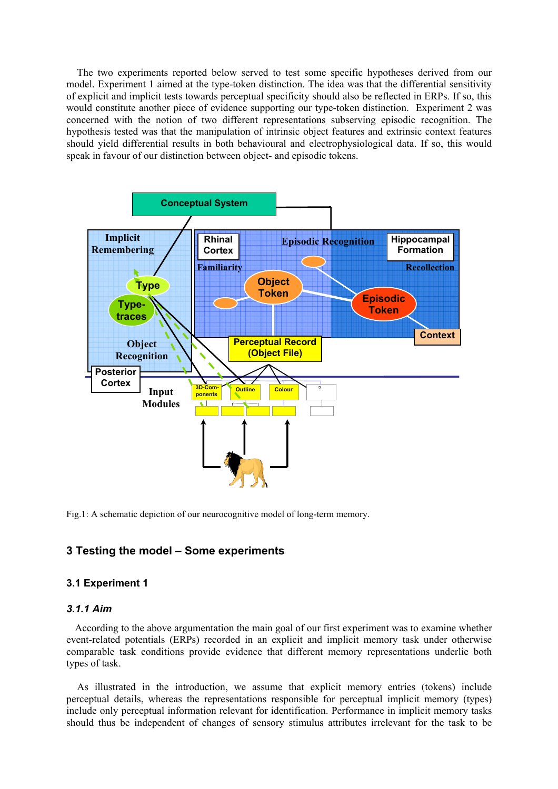The two experiments reported below served to test some specific hypotheses derived from our model. Experiment 1 aimed at the type-token distinction. The idea was that the differential sensitivity of explicit and implicit tests towards perceptual specificity should also be reflected in ERPs. If so, this would constitute another piece of evidence supporting our type-token distinction. Experiment 2 was concerned with the notion of two different representations subserving episodic recognition. The hypothesis tested was that the manipulation of intrinsic object features and extrinsic context features should yield differential results in both behavioural and electrophysiological data. If so, this would speak in favour of our distinction between object- and episodic tokens.



Fig.1: A schematic depiction of our neurocognitive model of long-term memory.

# **3 Testing the model – Some experiments**

## **3.1 Experiment 1**

#### *3.1.1 Aim*

According to the above argumentation the main goal of our first experiment was to examine whether event-related potentials (ERPs) recorded in an explicit and implicit memory task under otherwise comparable task conditions provide evidence that different memory representations underlie both types of task.

As illustrated in the introduction, we assume that explicit memory entries (tokens) include perceptual details, whereas the representations responsible for perceptual implicit memory (types) include only perceptual information relevant for identification. Performance in implicit memory tasks should thus be independent of changes of sensory stimulus attributes irrelevant for the task to be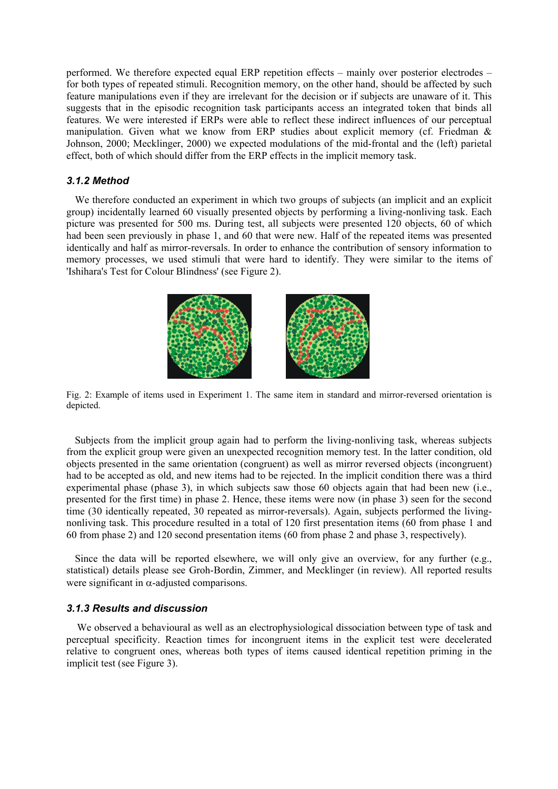performed. We therefore expected equal ERP repetition effects – mainly over posterior electrodes – for both types of repeated stimuli. Recognition memory, on the other hand, should be affected by such feature manipulations even if they are irrelevant for the decision or if subjects are unaware of it. This suggests that in the episodic recognition task participants access an integrated token that binds all features. We were interested if ERPs were able to reflect these indirect influences of our perceptual manipulation. Given what we know from ERP studies about explicit memory (cf. Friedman & Johnson, 2000; Mecklinger, 2000) we expected modulations of the mid-frontal and the (left) parietal effect, both of which should differ from the ERP effects in the implicit memory task.

# *3.1.2 Method*

We therefore conducted an experiment in which two groups of subjects (an implicit and an explicit group) incidentally learned 60 visually presented objects by performing a living-nonliving task. Each picture was presented for 500 ms. During test, all subjects were presented 120 objects, 60 of which had been seen previously in phase 1, and 60 that were new. Half of the repeated items was presented identically and half as mirror-reversals. In order to enhance the contribution of sensory information to memory processes, we used stimuli that were hard to identify. They were similar to the items of 'Ishihara's Test for Colour Blindness' (see Figure 2).



Fig. 2: Example of items used in Experiment 1. The same item in standard and mirror-reversed orientation is depicted.

Subjects from the implicit group again had to perform the living-nonliving task, whereas subjects from the explicit group were given an unexpected recognition memory test. In the latter condition, old objects presented in the same orientation (congruent) as well as mirror reversed objects (incongruent) had to be accepted as old, and new items had to be rejected. In the implicit condition there was a third experimental phase (phase 3), in which subjects saw those 60 objects again that had been new (i.e., presented for the first time) in phase 2. Hence, these items were now (in phase 3) seen for the second time (30 identically repeated, 30 repeated as mirror-reversals). Again, subjects performed the livingnonliving task. This procedure resulted in a total of 120 first presentation items (60 from phase 1 and 60 from phase 2) and 120 second presentation items (60 from phase 2 and phase 3, respectively).

Since the data will be reported elsewhere, we will only give an overview, for any further (e.g., statistical) details please see Groh-Bordin, Zimmer, and Mecklinger (in review). All reported results were significant in  $\alpha$ -adjusted comparisons.

# *3.1.3 Results and discussion*

We observed a behavioural as well as an electrophysiological dissociation between type of task and perceptual specificity. Reaction times for incongruent items in the explicit test were decelerated relative to congruent ones, whereas both types of items caused identical repetition priming in the implicit test (see Figure 3).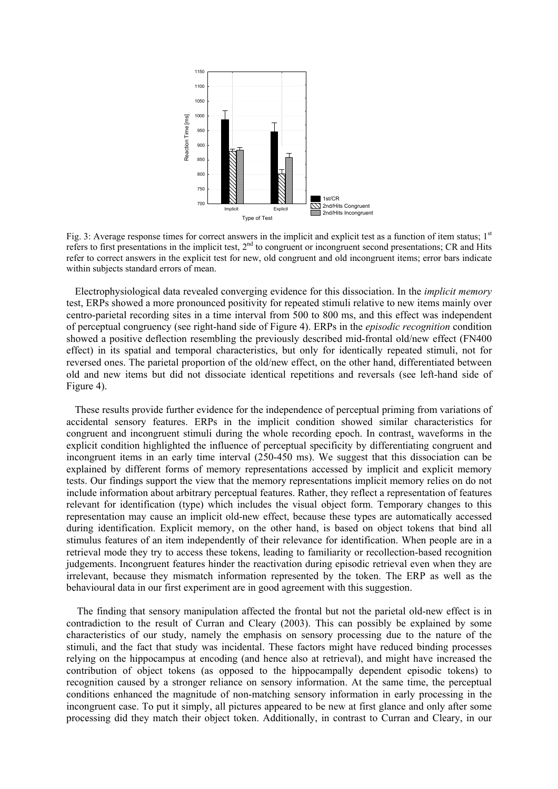

Fig. 3: Average response times for correct answers in the implicit and explicit test as a function of item status;  $1<sup>st</sup>$ refers to first presentations in the implicit test,  $2<sup>nd</sup>$  to congruent or incongruent second presentations; CR and Hits refer to correct answers in the explicit test for new, old congruent and old incongruent items; error bars indicate within subjects standard errors of mean.

Electrophysiological data revealed converging evidence for this dissociation. In the *implicit memory* test, ERPs showed a more pronounced positivity for repeated stimuli relative to new items mainly over centro-parietal recording sites in a time interval from 500 to 800 ms, and this effect was independent of perceptual congruency (see right-hand side of Figure 4). ERPs in the *episodic recognition* condition showed a positive deflection resembling the previously described mid-frontal old/new effect (FN400 effect) in its spatial and temporal characteristics, but only for identically repeated stimuli, not for reversed ones. The parietal proportion of the old/new effect, on the other hand, differentiated between old and new items but did not dissociate identical repetitions and reversals (see left-hand side of Figure 4).

These results provide further evidence for the independence of perceptual priming from variations of accidental sensory features. ERPs in the implicit condition showed similar characteristics for congruent and incongruent stimuli during the whole recording epoch. In contrast, waveforms in the explicit condition highlighted the influence of perceptual specificity by differentiating congruent and incongruent items in an early time interval (250-450 ms). We suggest that this dissociation can be explained by different forms of memory representations accessed by implicit and explicit memory tests. Our findings support the view that the memory representations implicit memory relies on do not include information about arbitrary perceptual features. Rather, they reflect a representation of features relevant for identification (type) which includes the visual object form. Temporary changes to this representation may cause an implicit old-new effect, because these types are automatically accessed during identification. Explicit memory, on the other hand, is based on object tokens that bind all stimulus features of an item independently of their relevance for identification. When people are in a retrieval mode they try to access these tokens, leading to familiarity or recollection-based recognition judgements. Incongruent features hinder the reactivation during episodic retrieval even when they are irrelevant, because they mismatch information represented by the token. The ERP as well as the behavioural data in our first experiment are in good agreement with this suggestion.

The finding that sensory manipulation affected the frontal but not the parietal old-new effect is in contradiction to the result of Curran and Cleary (2003). This can possibly be explained by some characteristics of our study, namely the emphasis on sensory processing due to the nature of the stimuli, and the fact that study was incidental. These factors might have reduced binding processes relying on the hippocampus at encoding (and hence also at retrieval), and might have increased the contribution of object tokens (as opposed to the hippocampally dependent episodic tokens) to recognition caused by a stronger reliance on sensory information. At the same time, the perceptual conditions enhanced the magnitude of non-matching sensory information in early processing in the incongruent case. To put it simply, all pictures appeared to be new at first glance and only after some processing did they match their object token. Additionally, in contrast to Curran and Cleary, in our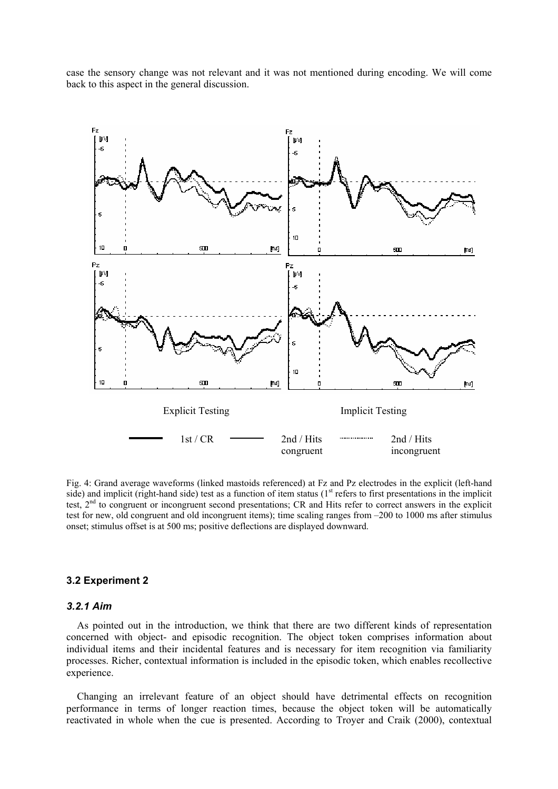case the sensory change was not relevant and it was not mentioned during encoding. We will come back to this aspect in the general discussion.



Fig. 4: Grand average waveforms (linked mastoids referenced) at Fz and Pz electrodes in the explicit (left-hand side) and implicit (right-hand side) test as a function of item status  $(1<sup>st</sup>$  refers to first presentations in the implicit test,  $2<sup>nd</sup>$  to congruent or incongruent second presentations; CR and Hits refer to correct answers in the explicit test for new, old congruent and old incongruent items); time scaling ranges from –200 to 1000 ms after stimulus onset; stimulus offset is at 500 ms; positive deflections are displayed downward.

## **3.2 Experiment 2**

# *3.2.1 Aim*

As pointed out in the introduction, we think that there are two different kinds of representation concerned with object- and episodic recognition. The object token comprises information about individual items and their incidental features and is necessary for item recognition via familiarity processes. Richer, contextual information is included in the episodic token, which enables recollective experience.

Changing an irrelevant feature of an object should have detrimental effects on recognition performance in terms of longer reaction times, because the object token will be automatically reactivated in whole when the cue is presented. According to Troyer and Craik (2000), contextual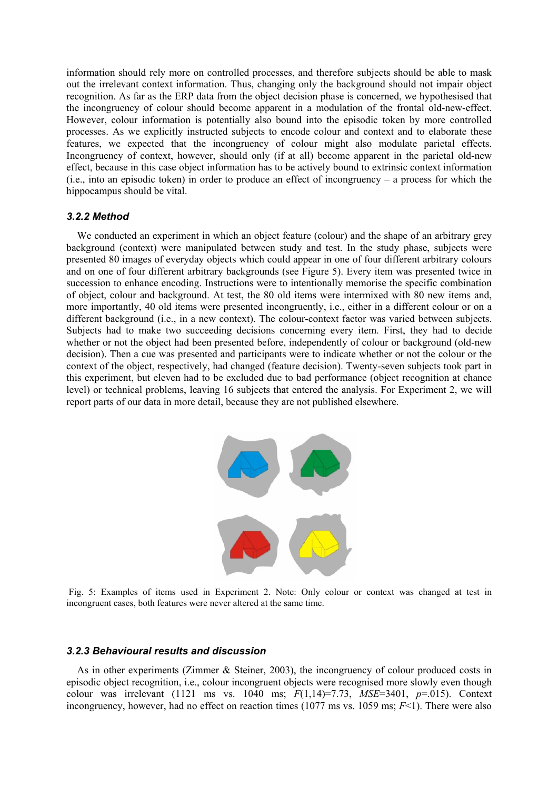information should rely more on controlled processes, and therefore subjects should be able to mask out the irrelevant context information. Thus, changing only the background should not impair object recognition. As far as the ERP data from the object decision phase is concerned, we hypothesised that the incongruency of colour should become apparent in a modulation of the frontal old-new-effect. However, colour information is potentially also bound into the episodic token by more controlled processes. As we explicitly instructed subjects to encode colour and context and to elaborate these features, we expected that the incongruency of colour might also modulate parietal effects. Incongruency of context, however, should only (if at all) become apparent in the parietal old-new effect, because in this case object information has to be actively bound to extrinsic context information (i.e., into an episodic token) in order to produce an effect of incongruency – a process for which the hippocampus should be vital.

## *3.2.2 Method*

We conducted an experiment in which an object feature (colour) and the shape of an arbitrary grey background (context) were manipulated between study and test. In the study phase, subjects were presented 80 images of everyday objects which could appear in one of four different arbitrary colours and on one of four different arbitrary backgrounds (see Figure 5). Every item was presented twice in succession to enhance encoding. Instructions were to intentionally memorise the specific combination of object, colour and background. At test, the 80 old items were intermixed with 80 new items and, more importantly, 40 old items were presented incongruently, i.e., either in a different colour or on a different background (i.e., in a new context). The colour-context factor was varied between subjects. Subjects had to make two succeeding decisions concerning every item. First, they had to decide whether or not the object had been presented before, independently of colour or background (old-new decision). Then a cue was presented and participants were to indicate whether or not the colour or the context of the object, respectively, had changed (feature decision). Twenty-seven subjects took part in this experiment, but eleven had to be excluded due to bad performance (object recognition at chance level) or technical problems, leaving 16 subjects that entered the analysis. For Experiment 2, we will report parts of our data in more detail, because they are not published elsewhere.



Fig. 5: Examples of items used in Experiment 2. Note: Only colour or context was changed at test in incongruent cases, both features were never altered at the same time.

## *3.2.3 Behavioural results and discussion*

As in other experiments (Zimmer & Steiner, 2003), the incongruency of colour produced costs in episodic object recognition, i.e., colour incongruent objects were recognised more slowly even though colour was irrelevant (1121 ms vs. 1040 ms; *F*(1,14)=7.73, *MSE*=3401, *p*=.015). Context incongruency, however, had no effect on reaction times  $(1077 \text{ ms vs. } 1059 \text{ ms}; F<1)$ . There were also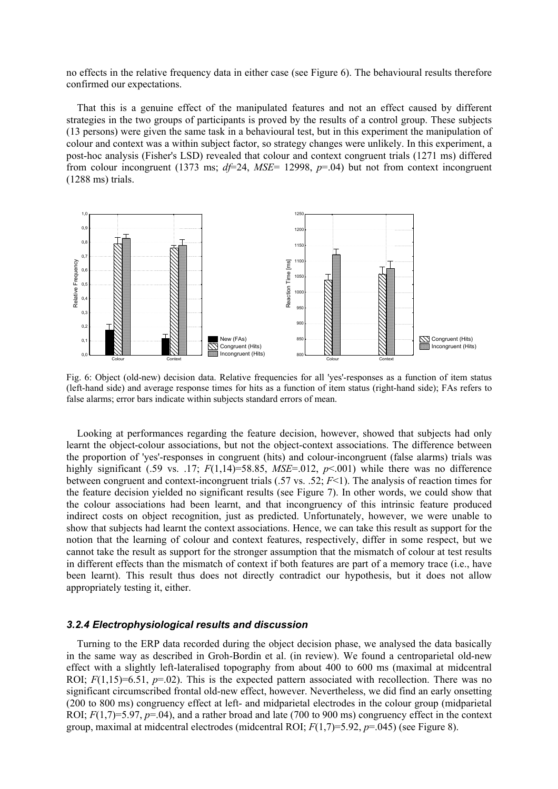no effects in the relative frequency data in either case (see Figure 6). The behavioural results therefore confirmed our expectations.

That this is a genuine effect of the manipulated features and not an effect caused by different strategies in the two groups of participants is proved by the results of a control group. These subjects (13 persons) were given the same task in a behavioural test, but in this experiment the manipulation of colour and context was a within subject factor, so strategy changes were unlikely. In this experiment, a post-hoc analysis (Fisher's LSD) revealed that colour and context congruent trials (1271 ms) differed from colour incongruent (1373 ms; *df*=24, *MSE*= 12998, *p*=.04) but not from context incongruent (1288 ms) trials.



Fig. 6: Object (old-new) decision data. Relative frequencies for all 'yes'-responses as a function of item status (left-hand side) and average response times for hits as a function of item status (right-hand side); FAs refers to false alarms; error bars indicate within subjects standard errors of mean.

Looking at performances regarding the feature decision, however, showed that subjects had only learnt the object-colour associations, but not the object-context associations. The difference between the proportion of 'yes'-responses in congruent (hits) and colour-incongruent (false alarms) trials was highly significant (.59 vs. .17; *F*(1,14)=58.85, *MSE*=.012, *p*<.001) while there was no difference between congruent and context-incongruent trials (.57 vs. .52; *F*<1). The analysis of reaction times for the feature decision yielded no significant results (see Figure 7). In other words, we could show that the colour associations had been learnt, and that incongruency of this intrinsic feature produced indirect costs on object recognition, just as predicted. Unfortunately, however, we were unable to show that subjects had learnt the context associations. Hence, we can take this result as support for the notion that the learning of colour and context features, respectively, differ in some respect, but we cannot take the result as support for the stronger assumption that the mismatch of colour at test results in different effects than the mismatch of context if both features are part of a memory trace (i.e., have been learnt). This result thus does not directly contradict our hypothesis, but it does not allow appropriately testing it, either.

## *3.2.4 Electrophysiological results and discussion*

Turning to the ERP data recorded during the object decision phase, we analysed the data basically in the same way as described in Groh-Bordin et al. (in review). We found a centroparietal old-new effect with a slightly left-lateralised topography from about 400 to 600 ms (maximal at midcentral ROI;  $F(1,15)=6.51$ ,  $p=.02$ ). This is the expected pattern associated with recollection. There was no significant circumscribed frontal old-new effect, however. Nevertheless, we did find an early onsetting (200 to 800 ms) congruency effect at left- and midparietal electrodes in the colour group (midparietal ROI;  $F(1,7)=5.97$ ,  $p=.04$ ), and a rather broad and late (700 to 900 ms) congruency effect in the context group, maximal at midcentral electrodes (midcentral ROI; *F*(1,7)=5.92, *p*=.045) (see Figure 8).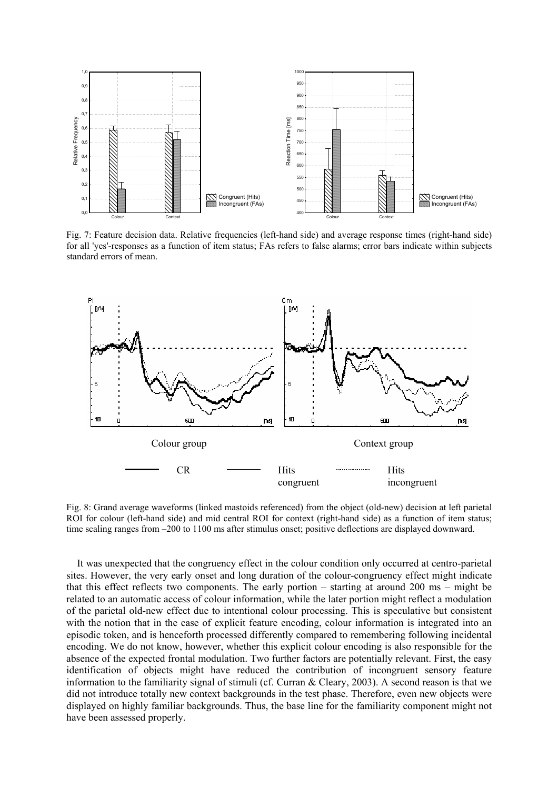

Fig. 7: Feature decision data. Relative frequencies (left-hand side) and average response times (right-hand side) for all 'yes'-responses as a function of item status; FAs refers to false alarms; error bars indicate within subjects standard errors of mean.



Fig. 8: Grand average waveforms (linked mastoids referenced) from the object (old-new) decision at left parietal ROI for colour (left-hand side) and mid central ROI for context (right-hand side) as a function of item status; time scaling ranges from –200 to 1100 ms after stimulus onset; positive deflections are displayed downward.

It was unexpected that the congruency effect in the colour condition only occurred at centro-parietal sites. However, the very early onset and long duration of the colour-congruency effect might indicate that this effect reflects two components. The early portion – starting at around 200 ms – might be related to an automatic access of colour information, while the later portion might reflect a modulation of the parietal old-new effect due to intentional colour processing. This is speculative but consistent with the notion that in the case of explicit feature encoding, colour information is integrated into an episodic token, and is henceforth processed differently compared to remembering following incidental encoding. We do not know, however, whether this explicit colour encoding is also responsible for the absence of the expected frontal modulation. Two further factors are potentially relevant. First, the easy identification of objects might have reduced the contribution of incongruent sensory feature information to the familiarity signal of stimuli (cf. Curran & Cleary, 2003). A second reason is that we did not introduce totally new context backgrounds in the test phase. Therefore, even new objects were displayed on highly familiar backgrounds. Thus, the base line for the familiarity component might not have been assessed properly.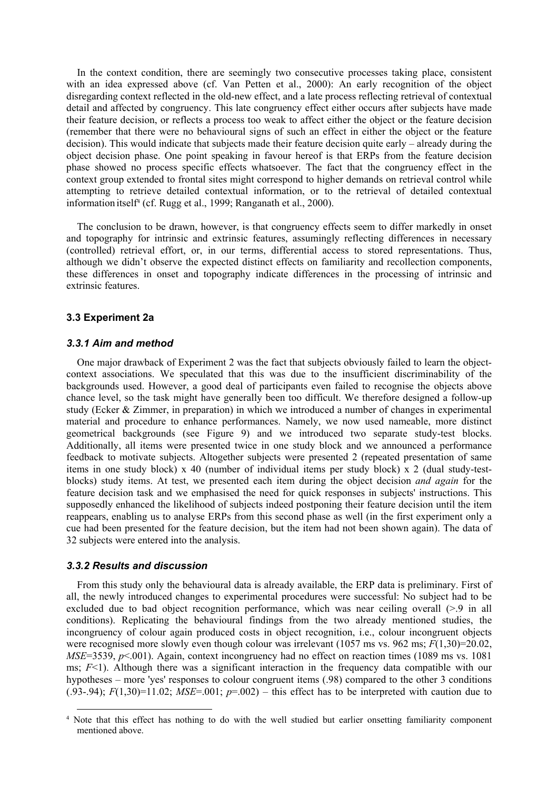In the context condition, there are seemingly two consecutive processes taking place, consistent with an idea expressed above (cf. Van Petten et al., 2000): An early recognition of the object disregarding context reflected in the old-new effect, and a late process reflecting retrieval of contextual detail and affected by congruency. This late congruency effect either occurs after subjects have made their feature decision, or reflects a process too weak to affect either the object or the feature decision (remember that there were no behavioural signs of such an effect in either the object or the feature decision). This would indicate that subjects made their feature decision quite early – already during the object decision phase. One point speaking in favour hereof is that ERPs from the feature decision phase showed no process specific effects whatsoever. The fact that the congruency effect in the context group extended to frontal sites might correspond to higher demands on retrieval control while attempting to retrieve detailed contextual information, or to the retrieval of detailed contextual information itself<sup>4</sup> (cf. Rugg et al., 1999; Ranganath et al., 2000).

The conclusion to be drawn, however, is that congruency effects seem to differ markedly in onset and topography for intrinsic and extrinsic features, assumingly reflecting differences in necessary (controlled) retrieval effort, or, in our terms, differential access to stored representations. Thus, although we didn't observe the expected distinct effects on familiarity and recollection components, these differences in onset and topography indicate differences in the processing of intrinsic and extrinsic features.

#### **3.3 Experiment 2a**

#### *3.3.1 Aim and method*

One major drawback of Experiment 2 was the fact that subjects obviously failed to learn the objectcontext associations. We speculated that this was due to the insufficient discriminability of the backgrounds used. However, a good deal of participants even failed to recognise the objects above chance level, so the task might have generally been too difficult. We therefore designed a follow-up study (Ecker  $\&$  Zimmer, in preparation) in which we introduced a number of changes in experimental material and procedure to enhance performances. Namely, we now used nameable, more distinct geometrical backgrounds (see Figure 9) and we introduced two separate study-test blocks. Additionally, all items were presented twice in one study block and we announced a performance feedback to motivate subjects. Altogether subjects were presented 2 (repeated presentation of same items in one study block) x 40 (number of individual items per study block) x 2 (dual study-testblocks) study items. At test, we presented each item during the object decision *and again* for the feature decision task and we emphasised the need for quick responses in subjects' instructions. This supposedly enhanced the likelihood of subjects indeed postponing their feature decision until the item reappears, enabling us to analyse ERPs from this second phase as well (in the first experiment only a cue had been presented for the feature decision, but the item had not been shown again). The data of 32 subjects were entered into the analysis.

#### *3.3.2 Results and discussion*

From this study only the behavioural data is already available, the ERP data is preliminary. First of all, the newly introduced changes to experimental procedures were successful: No subject had to be excluded due to bad object recognition performance, which was near ceiling overall (>.9 in all conditions). Replicating the behavioural findings from the two already mentioned studies, the incongruency of colour again produced costs in object recognition, i.e., colour incongruent objects were recognised more slowly even though colour was irrelevant (1057 ms vs. 962 ms; *F*(1,30)=20.02, *MSE*=3539, *p*<.001). Again, context incongruency had no effect on reaction times (1089 ms vs. 1081) ms; *F*<1). Although there was a significant interaction in the frequency data compatible with our hypotheses – more 'yes' responses to colour congruent items (.98) compared to the other 3 conditions (.93-.94);  $F(1,30)=11.02$ ;  $MSE=.001$ ;  $p=.002$ ) – this effect has to be interpreted with caution due to

<span id="page-14-0"></span> <sup>4</sup> Note that this effect has nothing to do with the well studied but earlier onsetting familiarity component mentioned above.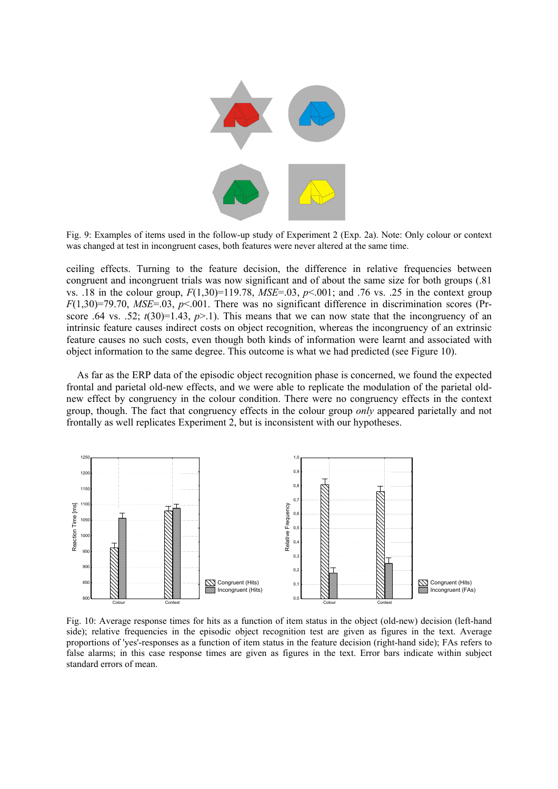

Fig. 9: Examples of items used in the follow-up study of Experiment 2 (Exp. 2a). Note: Only colour or context was changed at test in incongruent cases, both features were never altered at the same time.

ceiling effects. Turning to the feature decision, the difference in relative frequencies between congruent and incongruent trials was now significant and of about the same size for both groups (.81 vs. .18 in the colour group,  $F(1,30)=119.78$ ,  $MSE=0.03$ ,  $p<0.01$ ; and .76 vs. .25 in the context group  $F(1,30)=79.70$ ,  $MSE=.03$ ,  $p<.001$ . There was no significant difference in discrimination scores (Prscore .64 vs. .52;  $t(30)=1.43$ ,  $p>1$ ). This means that we can now state that the incongruency of an intrinsic feature causes indirect costs on object recognition, whereas the incongruency of an extrinsic feature causes no such costs, even though both kinds of information were learnt and associated with object information to the same degree. This outcome is what we had predicted (see Figure 10).

As far as the ERP data of the episodic object recognition phase is concerned, we found the expected frontal and parietal old-new effects, and we were able to replicate the modulation of the parietal oldnew effect by congruency in the colour condition. There were no congruency effects in the context group, though. The fact that congruency effects in the colour group *only* appeared parietally and not frontally as well replicates Experiment 2, but is inconsistent with our hypotheses.



Fig. 10: Average response times for hits as a function of item status in the object (old-new) decision (left-hand side); relative frequencies in the episodic object recognition test are given as figures in the text. Average proportions of 'yes'-responses as a function of item status in the feature decision (right-hand side); FAs refers to false alarms; in this case response times are given as figures in the text. Error bars indicate within subject standard errors of mean.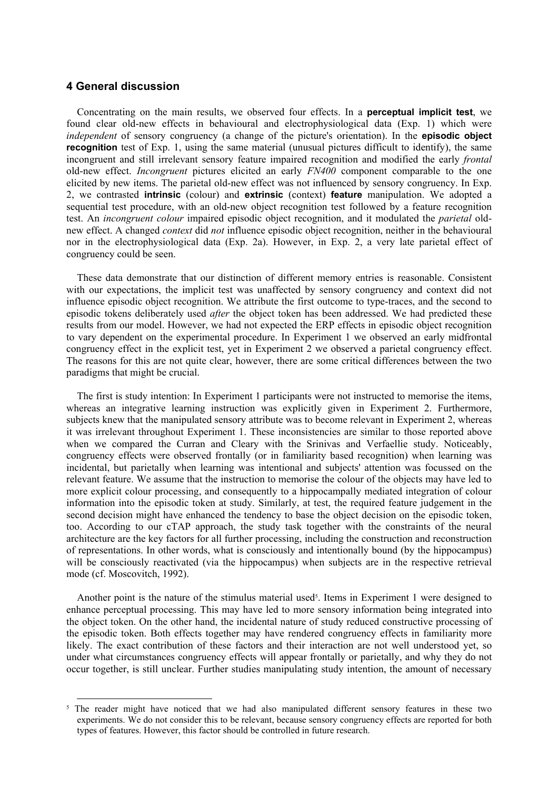# **4 General discussion**

Concentrating on the main results, we observed four effects. In a **perceptual implicit test**, we found clear old-new effects in behavioural and electrophysiological data (Exp. 1) which were *independent* of sensory congruency (a change of the picture's orientation). In the **episodic object recognition** test of Exp. 1, using the same material (unusual pictures difficult to identify), the same incongruent and still irrelevant sensory feature impaired recognition and modified the early *frontal*  old-new effect. *Incongruent* pictures elicited an early *FN400* component comparable to the one elicited by new items. The parietal old-new effect was not influenced by sensory congruency. In Exp. 2, we contrasted **intrinsic** (colour) and **extrinsic** (context) **feature** manipulation. We adopted a sequential test procedure, with an old-new object recognition test followed by a feature recognition test. An *incongruent colour* impaired episodic object recognition, and it modulated the *parietal* oldnew effect. A changed *context* did *not* influence episodic object recognition, neither in the behavioural nor in the electrophysiological data (Exp. 2a). However, in Exp. 2, a very late parietal effect of congruency could be seen.

These data demonstrate that our distinction of different memory entries is reasonable. Consistent with our expectations, the implicit test was unaffected by sensory congruency and context did not influence episodic object recognition. We attribute the first outcome to type-traces, and the second to episodic tokens deliberately used *after* the object token has been addressed. We had predicted these results from our model. However, we had not expected the ERP effects in episodic object recognition to vary dependent on the experimental procedure. In Experiment 1 we observed an early midfrontal congruency effect in the explicit test, yet in Experiment 2 we observed a parietal congruency effect. The reasons for this are not quite clear, however, there are some critical differences between the two paradigms that might be crucial.

The first is study intention: In Experiment 1 participants were not instructed to memorise the items, whereas an integrative learning instruction was explicitly given in Experiment 2. Furthermore, subjects knew that the manipulated sensory attribute was to become relevant in Experiment 2, whereas it was irrelevant throughout Experiment 1. These inconsistencies are similar to those reported above when we compared the Curran and Cleary with the Srinivas and Verfaellie study. Noticeably, congruency effects were observed frontally (or in familiarity based recognition) when learning was incidental, but parietally when learning was intentional and subjects' attention was focussed on the relevant feature. We assume that the instruction to memorise the colour of the objects may have led to more explicit colour processing, and consequently to a hippocampally mediated integration of colour information into the episodic token at study. Similarly, at test, the required feature judgement in the second decision might have enhanced the tendency to base the object decision on the episodic token, too. According to our cTAP approach, the study task together with the constraints of the neural architecture are the key factors for all further processing, including the construction and reconstruction of representations. In other words, what is consciously and intentionally bound (by the hippocampus) will be consciously reactivated (via the hippocampus) when subjects are in the respective retrieval mode (cf. Moscovitch, 1992).

Another point is the nature of the stimulus material used<sup>5</sup>. Items in Experiment 1 were designed to enhance perceptual processing. This may have led to more sensory information being integrated into the object token. On the other hand, the incidental nature of study reduced constructive processing of the episodic token. Both effects together may have rendered congruency effects in familiarity more likely. The exact contribution of these factors and their interaction are not well understood yet, so under what circumstances congruency effects will appear frontally or parietally, and why they do not occur together, is still unclear. Further studies manipulating study intention, the amount of necessary

<span id="page-16-0"></span><sup>&</sup>lt;sup>5</sup> The reader might have noticed that we had also manipulated different sensory features in these two experiments. We do not consider this to be relevant, because sensory congruency effects are reported for both types of features. However, this factor should be controlled in future research.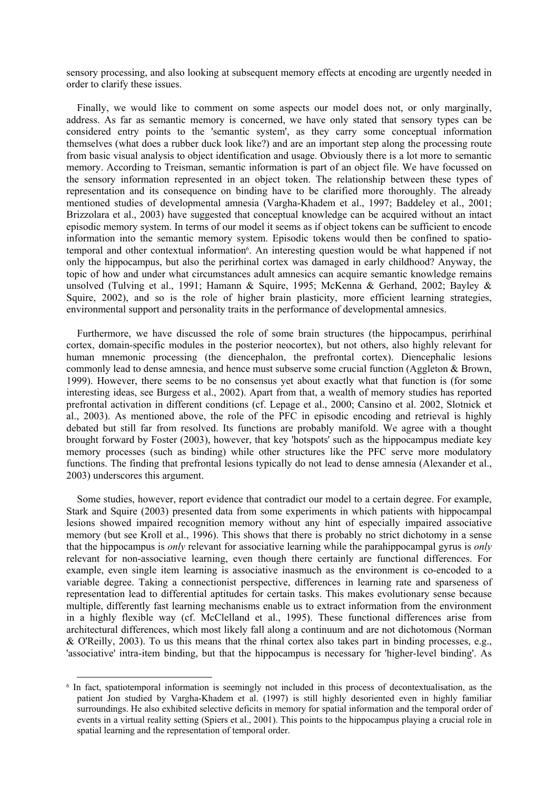sensory processing, and also looking at subsequent memory effects at encoding are urgently needed in order to clarify these issues.

Finally, we would like to comment on some aspects our model does not, or only marginally, address. As far as semantic memory is concerned, we have only stated that sensory types can be considered entry points to the 'semantic system', as they carry some conceptual information themselves (what does a rubber duck look like?) and are an important step along the processing route from basic visual analysis to object identification and usage. Obviously there is a lot more to semantic memory. According to Treisman, semantic information is part of an object file. We have focussed on the sensory information represented in an object token. The relationship between these types of representation and its consequence on binding have to be clarified more thoroughly. The already mentioned studies of developmental amnesia (Vargha-Khadem et al., 1997; Baddeley et al., 2001; Brizzolara et al., 2003) have suggested that conceptual knowledge can be acquired without an intact episodic memory system. In terms of our model it seems as if object tokens can be sufficient to encode information into the semantic memory system. Episodic tokens would then be confined to spatiotemporal and other contextual information<sup>6</sup>. An interesting question would be what happened if not only the hippocampus, but also the perirhinal cortex was damaged in early childhood? Anyway, the topic of how and under what circumstances adult amnesics can acquire semantic knowledge remains unsolved (Tulving et al., 1991; Hamann & Squire, 1995; McKenna & Gerhand, 2002; Bayley & Squire, 2002), and so is the role of higher brain plasticity, more efficient learning strategies, environmental support and personality traits in the performance of developmental amnesics.

Furthermore, we have discussed the role of some brain structures (the hippocampus, perirhinal cortex, domain-specific modules in the posterior neocortex), but not others, also highly relevant for human mnemonic processing (the diencephalon, the prefrontal cortex). Diencephalic lesions commonly lead to dense amnesia, and hence must subserve some crucial function (Aggleton & Brown, 1999). However, there seems to be no consensus yet about exactly what that function is (for some interesting ideas, see Burgess et al., 2002). Apart from that, a wealth of memory studies has reported prefrontal activation in different conditions (cf. Lepage et al., 2000; Cansino et al. 2002, Slotnick et al., 2003). As mentioned above, the role of the PFC in episodic encoding and retrieval is highly debated but still far from resolved. Its functions are probably manifold. We agree with a thought brought forward by Foster (2003), however, that key 'hotspots' such as the hippocampus mediate key memory processes (such as binding) while other structures like the PFC serve more modulatory functions. The finding that prefrontal lesions typically do not lead to dense amnesia (Alexander et al., 2003) underscores this argument.

Some studies, however, report evidence that contradict our model to a certain degree. For example, Stark and Squire (2003) presented data from some experiments in which patients with hippocampal lesions showed impaired recognition memory without any hint of especially impaired associative memory (but see Kroll et al., 1996). This shows that there is probably no strict dichotomy in a sense that the hippocampus is *only* relevant for associative learning while the parahippocampal gyrus is *only* relevant for non-associative learning, even though there certainly are functional differences. For example, even single item learning is associative inasmuch as the environment is co-encoded to a variable degree. Taking a connectionist perspective, differences in learning rate and sparseness of representation lead to differential aptitudes for certain tasks. This makes evolutionary sense because multiple, differently fast learning mechanisms enable us to extract information from the environment in a highly flexible way (cf. McClelland et al., 1995). These functional differences arise from architectural differences, which most likely fall along a continuum and are not dichotomous (Norman & O'Reilly, 2003). To us this means that the rhinal cortex also takes part in binding processes, e.g., 'associative' intra-item binding, but that the hippocampus is necessary for 'higher-level binding'. As

<span id="page-17-0"></span> <sup>6</sup> In fact, spatiotemporal information is seemingly not included in this process of decontextualisation, as the patient Jon studied by Vargha-Khadem et al. (1997) is still highly desoriented even in highly familiar surroundings. He also exhibited selective deficits in memory for spatial information and the temporal order of events in a virtual reality setting (Spiers et al., 2001). This points to the hippocampus playing a crucial role in spatial learning and the representation of temporal order.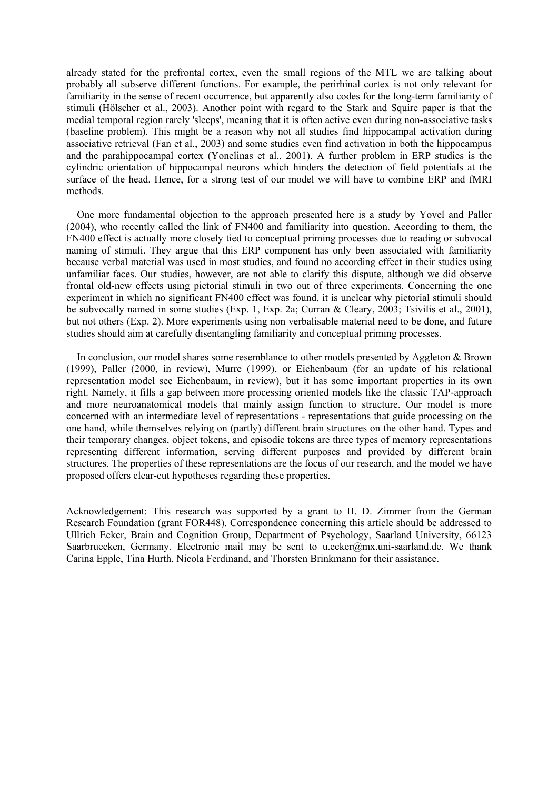already stated for the prefrontal cortex, even the small regions of the MTL we are talking about probably all subserve different functions. For example, the perirhinal cortex is not only relevant for familiarity in the sense of recent occurrence, but apparently also codes for the long-term familiarity of stimuli (Hölscher et al., 2003). Another point with regard to the Stark and Squire paper is that the medial temporal region rarely 'sleeps', meaning that it is often active even during non-associative tasks (baseline problem). This might be a reason why not all studies find hippocampal activation during associative retrieval (Fan et al., 2003) and some studies even find activation in both the hippocampus and the parahippocampal cortex (Yonelinas et al., 2001). A further problem in ERP studies is the cylindric orientation of hippocampal neurons which hinders the detection of field potentials at the surface of the head. Hence, for a strong test of our model we will have to combine ERP and fMRI methods.

One more fundamental objection to the approach presented here is a study by Yovel and Paller (2004), who recently called the link of FN400 and familiarity into question. According to them, the FN400 effect is actually more closely tied to conceptual priming processes due to reading or subvocal naming of stimuli. They argue that this ERP component has only been associated with familiarity because verbal material was used in most studies, and found no according effect in their studies using unfamiliar faces. Our studies, however, are not able to clarify this dispute, although we did observe frontal old-new effects using pictorial stimuli in two out of three experiments. Concerning the one experiment in which no significant FN400 effect was found, it is unclear why pictorial stimuli should be subvocally named in some studies (Exp. 1, Exp. 2a; Curran & Cleary, 2003; Tsivilis et al., 2001), but not others (Exp. 2). More experiments using non verbalisable material need to be done, and future studies should aim at carefully disentangling familiarity and conceptual priming processes.

In conclusion, our model shares some resemblance to other models presented by Aggleton & Brown (1999), Paller (2000, in review), Murre (1999), or Eichenbaum (for an update of his relational representation model see Eichenbaum, in review), but it has some important properties in its own right. Namely, it fills a gap between more processing oriented models like the classic TAP-approach and more neuroanatomical models that mainly assign function to structure. Our model is more concerned with an intermediate level of representations - representations that guide processing on the one hand, while themselves relying on (partly) different brain structures on the other hand. Types and their temporary changes, object tokens, and episodic tokens are three types of memory representations representing different information, serving different purposes and provided by different brain structures. The properties of these representations are the focus of our research, and the model we have proposed offers clear-cut hypotheses regarding these properties.

Acknowledgement: This research was supported by a grant to H. D. Zimmer from the German Research Foundation (grant FOR448). Correspondence concerning this article should be addressed to Ullrich Ecker, Brain and Cognition Group, Department of Psychology, Saarland University, 66123 Saarbruecken, Germany. Electronic mail may be sent to [u.ecker@mx.uni-saarland.de](mailto:u.ecker@mx.uni-saarland.de). We thank Carina Epple, Tina Hurth, Nicola Ferdinand, and Thorsten Brinkmann for their assistance.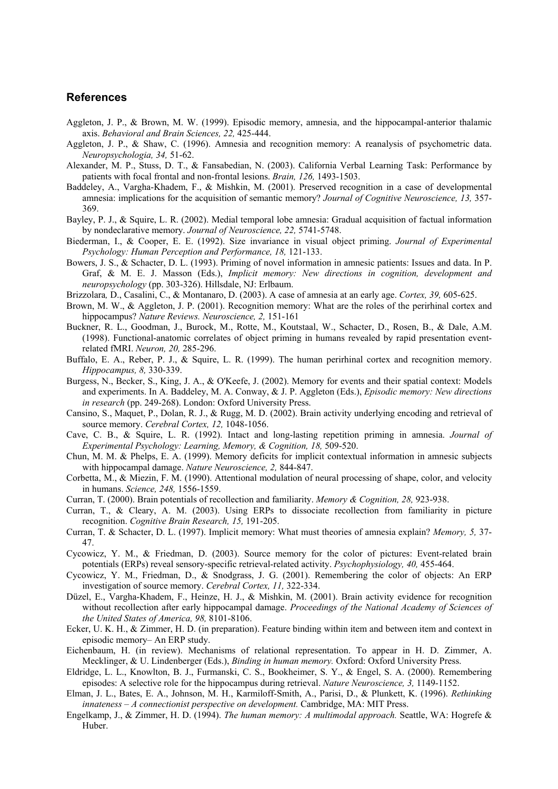# **References**

- Aggleton, J. P., & Brown, M. W. (1999). Episodic memory, amnesia, and the hippocampal-anterior thalamic axis. *Behavioral and Brain Sciences, 22,* 425-444.
- Aggleton, J. P., & Shaw, C. (1996). Amnesia and recognition memory: A reanalysis of psychometric data. *Neuropsychologia, 34,* 51-62.
- Alexander, M. P., Stuss, D. T., & Fansabedian, N. (2003). California Verbal Learning Task: Performance by patients with focal frontal and non-frontal lesions. *Brain, 126,* 1493-1503.
- Baddeley, A., Vargha-Khadem, F., & Mishkin, M. (2001). Preserved recognition in a case of developmental amnesia: implications for the acquisition of semantic memory? *Journal of Cognitive Neuroscience, 13,* 357- 369.
- Bayley, P. J., & Squire, L. R. (2002). Medial temporal lobe amnesia: Gradual acquisition of factual information by nondeclarative memory. *Journal of Neuroscience, 22,* 5741-5748.
- Biederman, I., & Cooper, E. E. (1992). Size invariance in visual object priming. *Journal of Experimental Psychology: Human Perception and Performance, 18,* 121-133.
- Bowers, J. S., & Schacter, D. L. (1993). Priming of novel information in amnesic patients: Issues and data. In P. Graf, & M. E. J. Masson (Eds.), *Implicit memory: New directions in cognition, development and neuropsychology* (pp. 303-326). Hillsdale, NJ: Erlbaum.
- Brizzolara*,* D., Casalini, C., & Montanaro, D. (2003). A case of amnesia at an early age. *Cortex, 39,* 605-625.
- Brown, M. W., & Aggleton, J. P. (2001). Recognition memory: What are the roles of the perirhinal cortex and hippocampus? *Nature Reviews. Neuroscience, 2,* 151-161
- Buckner, R. L., Goodman, J., Burock, M., Rotte, M., Koutstaal, W., Schacter, D., Rosen, B., & Dale, A.M. (1998). Functional-anatomic correlates of object priming in humans revealed by rapid presentation eventrelated fMRI. *Neuron, 20,* 285-296.
- Buffalo, E. A., Reber, P. J., & Squire, L. R. (1999). The human perirhinal cortex and recognition memory. *Hippocampus, 8,* 330-339.
- Burgess, N., Becker, S., King, J. A., & O'Keefe, J. (2002). Memory for events and their spatial context: Models and experiments. In A. Baddeley, M. A. Conway, & J. P. Aggleton (Eds.), *Episodic memory: New directions in research* (pp. 249-268). London: Oxford University Press.
- Cansino, S., Maquet, P., Dolan, R. J., & Rugg, M. D. (2002). Brain activity underlying encoding and retrieval of source memory. *Cerebral Cortex, 12,* 1048-1056.
- Cave, C. B., & Squire, L. R. (1992). Intact and long-lasting repetition priming in amnesia. *Journal of Experimental Psychology: Learning, Memory, & Cognition, 18,* 509-520.
- Chun, M. M. & Phelps, E. A. (1999). Memory deficits for implicit contextual information in amnesic subjects with hippocampal damage. *Nature Neuroscience, 2,* 844-847.
- Corbetta, M., & Miezin, F. M. (1990). Attentional modulation of neural processing of shape, color, and velocity in humans. *Science, 248,* 1556-1559.
- Curran, T. (2000). Brain potentials of recollection and familiarity. *Memory & Cognition, 28,* 923-938.
- Curran, T., & Cleary, A. M. (2003). Using ERPs to dissociate recollection from familiarity in picture recognition. *Cognitive Brain Research, 15,* 191-205.
- Curran, T. & Schacter, D. L. (1997). Implicit memory: What must theories of amnesia explain? *Memory, 5,* 37- 47.
- Cycowicz, Y. M., & Friedman, D. (2003). Source memory for the color of pictures: Event-related brain potentials (ERPs) reveal sensory-specific retrieval-related activity. *Psychophysiology, 40,* 455-464.
- Cycowicz, Y. M., Friedman, D., & Snodgrass, J. G. (2001). Remembering the color of objects: An ERP investigation of source memory. *Cerebral Cortex, 11,* 322-334.
- Düzel, E., Vargha-Khadem, F., Heinze, H. J., & Mishkin, M. (2001). Brain activity evidence for recognition without recollection after early hippocampal damage. *Proceedings of the National Academy of Sciences of the United States of America, 98,* 8101-8106.
- Ecker, U. K. H., & Zimmer, H. D. (in preparation). Feature binding within item and between item and context in episodic memory– An ERP study.
- Eichenbaum, H. (in review). Mechanisms of relational representation. To appear in H. D. Zimmer, A. Mecklinger, & U. Lindenberger (Eds.), *Binding in human memory.* Oxford: Oxford University Press.
- Eldridge, L. L., Knowlton, B. J., Furmanski, C. S., Bookheimer, S. Y., & Engel, S. A. (2000). Remembering episodes: A selective role for the hippocampus during retrieval. *Nature Neuroscience, 3,* 1149-1152.
- Elman, J. L., Bates, E. A., Johnson, M. H., Karmiloff-Smith, A., Parisi, D., & Plunkett, K. (1996). *Rethinking innateness – A connectionist perspective on development.* Cambridge, MA: MIT Press.
- Engelkamp, J., & Zimmer, H. D. (1994). *The human memory: A multimodal approach.* Seattle, WA: Hogrefe & Huber.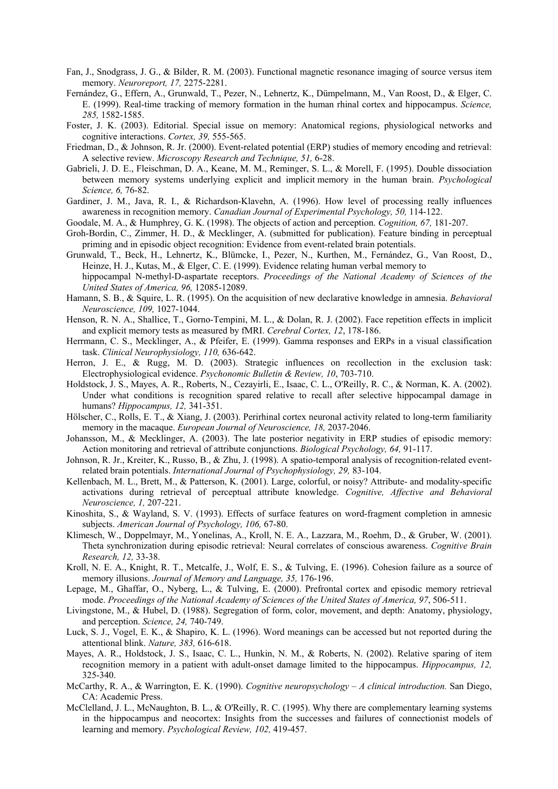- Fan, J., Snodgrass, J. G., & Bilder, R. M. (2003). Functional magnetic resonance imaging of source versus item memory. *Neuroreport, 17,* 2275-2281.
- Fernández, G., Effern, A., Grunwald, T., Pezer, N., Lehnertz, K., Dümpelmann, M., Van Roost, D., & Elger, C. E. (1999). Real-time tracking of memory formation in the human rhinal cortex and hippocampus. *Science, 285,* 1582-1585.
- Foster, J. K. (2003). Editorial. Special issue on memory: Anatomical regions, physiological networks and cognitive interactions. *Cortex, 39,* 555-565.
- Friedman, D., & Johnson, R. Jr. (2000). Event-related potential (ERP) studies of memory encoding and retrieval: A selective review. *Microscopy Research and Technique, 51,* 6-28.
- Gabrieli, J. D. E., Fleischman, D. A., Keane, M. M., Reminger, S. L., & Morell, F. (1995). Double dissociation between memory systems underlying explicit and implicit memory in the human brain. *Psychological Science, 6,* 76-82.
- Gardiner, J. M., Java, R. I., & Richardson-Klavehn, A. (1996). How level of processing really influences awareness in recognition memory. *Canadian Journal of Experimental Psychology, 50,* 114-122.
- Goodale, M. A., & Humphrey, G. K. (1998). The objects of action and perception. *Cognition, 67,* 181-207.
- Groh-Bordin, C., Zimmer, H. D., & Mecklinger, A. (submitted for publication). Feature binding in perceptual priming and in episodic object recognition: Evidence from event-related brain potentials.
- Grunwald, T., Beck, H., Lehnertz, K., Blümcke, I., Pezer, N., Kurthen, M., Fernández, G., Van Roost, D., Heinze, H. J., Kutas, M., & Elger, C. E. (1999). Evidence relating human verbal memory to hippocampal N-methyl-D-aspartate receptors. *Proceedings of the National Academy of Sciences of the United States of America, 96,* 12085-12089.
- Hamann, S. B., & Squire, L. R. (1995). On the acquisition of new declarative knowledge in amnesia. *Behavioral Neuroscience, 109,* 1027-1044.
- Henson, R. N. A., Shallice, T., Gorno-Tempini, M. L., & Dolan, R. J. (2002). Face repetition effects in implicit and explicit memory tests as measured by fMRI. *Cerebral Cortex, 12*, 178-186.
- Herrmann, C. S., Mecklinger, A., & Pfeifer, E. (1999). Gamma responses and ERPs in a visual classification task. *Clinical Neurophysiology, 110,* 636-642.
- Herron, J. E., & Rugg, M. D. (2003). Strategic influences on recollection in the exclusion task: Electrophysiological evidence. *Psychonomic Bulletin & Review, 10*, 703-710.
- Holdstock, J. S., Mayes, A. R., Roberts, N., Cezayirli, E., Isaac, C. L., O'Reilly, R. C., & Norman, K. A. (2002). Under what conditions is recognition spared relative to recall after selective hippocampal damage in humans? *Hippocampus, 12,* 341-351.
- Hölscher, C., Rolls, E. T., & Xiang, J. (2003). Perirhinal cortex neuronal activity related to long-term familiarity memory in the macaque. *European Journal of Neuroscience, 18,* 2037-2046.
- Johansson, M., & Mecklinger, A. (2003). The late posterior negativity in ERP studies of episodic memory: Action monitoring and retrieval of attribute conjunctions. *Biological Psychology, 64,* 91-117.
- Johnson, R. Jr., Kreiter, K., Russo, B., & Zhu, J. (1998). A spatio-temporal analysis of recognition-related eventrelated brain potentials. *International Journal of Psychophysiology, 29,* 83-104.
- Kellenbach, M. L., Brett, M., & Patterson, K. (2001). Large, colorful, or noisy? Attribute- and modality-specific activations during retrieval of perceptual attribute knowledge. *Cognitive, Affective and Behavioral Neuroscience, 1,* 207-221.
- Kinoshita, S., & Wayland, S. V. (1993). Effects of surface features on word-fragment completion in amnesic subjects. *American Journal of Psychology, 106,* 67-80.
- Klimesch, W., Doppelmayr, M., Yonelinas, A., Kroll, N. E. A., Lazzara, M., Roehm, D., & Gruber, W. (2001). Theta synchronization during episodic retrieval: Neural correlates of conscious awareness. *Cognitive Brain Research, 12,* 33-38.
- Kroll, N. E. A., Knight, R. T., Metcalfe, J., Wolf, E. S., & Tulving, E. (1996). Cohesion failure as a source of memory illusions. *Journal of Memory and Language, 35,* 176-196.
- Lepage, M., Ghaffar, O., Nyberg, L., & Tulving, E. (2000). Prefrontal cortex and episodic memory retrieval mode. *Proceedings of the National Academy of Sciences of the United States of America, 97*, 506-511.
- Livingstone, M., & Hubel, D. (1988). Segregation of form, color, movement, and depth: Anatomy, physiology, and perception. *Science, 24,* 740-749.
- Luck, S. J., Vogel, E. K., & Shapiro, K. L. (1996). Word meanings can be accessed but not reported during the attentional blink. *Nature, 383,* 616-618.
- Mayes, A. R., Holdstock, J. S., Isaac, C. L., Hunkin, N. M., & Roberts, N. (2002). Relative sparing of item recognition memory in a patient with adult-onset damage limited to the hippocampus. *Hippocampus, 12,* 325-340.
- McCarthy, R. A., & Warrington, E. K. (1990). *Cognitive neuropsychology A clinical introduction.* San Diego, CA: Academic Press.
- McClelland, J. L., McNaughton, B. L., & O'Reilly, R. C. (1995). Why there are complementary learning systems in the hippocampus and neocortex: Insights from the successes and failures of connectionist models of learning and memory. *Psychological Review, 102,* 419-457.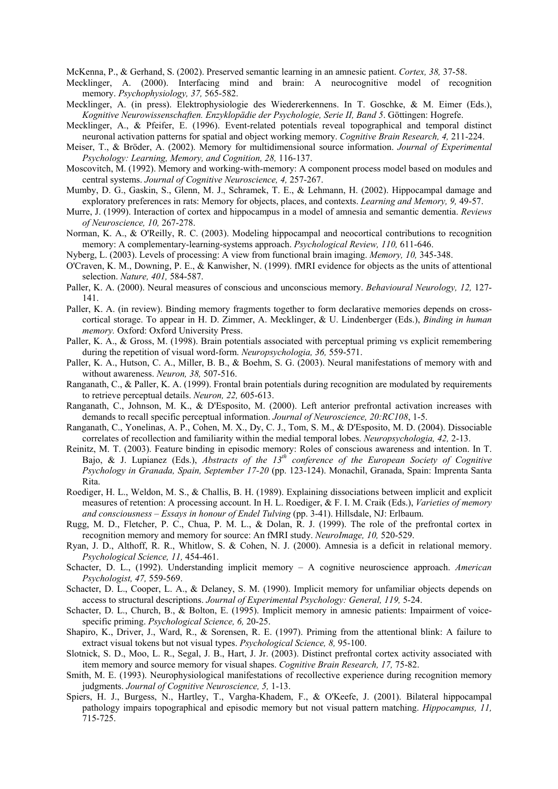McKenna, P., & Gerhand, S. (2002). Preserved semantic learning in an amnesic patient. *Cortex, 38,* 37-58.

- Mecklinger, A. (2000). Interfacing mind and brain: A neurocognitive model of recognition memory. *Psychophysiology, 37,* 565-582.
- Mecklinger, A. (in press). Elektrophysiologie des Wiedererkennens. In T. Goschke, & M. Eimer (Eds.), *Kognitive Neurowissenschaften. Enzyklopädie der Psychologie, Serie II, Band 5*. Göttingen: Hogrefe.
- Mecklinger, A., & Pfeifer, E. (1996). Event-related potentials reveal topographical and temporal distinct neuronal activation patterns for spatial and object working memory. *Cognitive Brain Research, 4,* 211-224.
- Meiser, T., & Bröder, A. (2002). Memory for multidimensional source information. *Journal of Experimental Psychology: Learning, Memory, and Cognition, 28,* 116-137.
- Moscovitch, M. (1992). Memory and working-with-memory: A component process model based on modules and central systems. *Journal of Cognitive Neuroscience, 4,* 257-267.
- Mumby, D. G., Gaskin, S., Glenn, M. J., Schramek, T. E., & Lehmann, H. (2002). Hippocampal damage and exploratory preferences in rats: Memory for objects, places, and contexts. *Learning and Memory, 9,* 49-57.
- Murre, J. (1999). Interaction of cortex and hippocampus in a model of amnesia and semantic dementia. *Reviews of Neuroscience, 10,* 267-278.
- Norman, K. A., & O'Reilly, R. C. (2003). Modeling hippocampal and neocortical contributions to recognition memory: A complementary-learning-systems approach. *Psychological Review, 110,* 611-646.
- Nyberg, L. (2003). Levels of processing: A view from functional brain imaging. *Memory, 10,* 345-348.
- O'Craven, K. M., Downing, P. E., & Kanwisher, N. (1999). fMRI evidence for objects as the units of attentional selection. *Nature, 401,* 584-587.
- Paller, K. A. (2000). Neural measures of conscious and unconscious memory. *Behavioural Neurology, 12,* 127- 141.
- Paller, K. A. (in review). Binding memory fragments together to form declarative memories depends on crosscortical storage. To appear in H. D. Zimmer, A. Mecklinger, & U. Lindenberger (Eds.), *Binding in human memory.* Oxford: Oxford University Press.
- Paller, K. A., & Gross, M. (1998). Brain potentials associated with perceptual priming vs explicit remembering during the repetition of visual word-form. *Neuropsychologia, 36,* 559-571.
- Paller, K. A., Hutson, C. A., Miller, B. B., & Boehm, S. G. (2003). Neural manifestations of memory with and without awareness. *Neuron, 38,* 507-516.
- Ranganath, C., & Paller, K. A. (1999). Frontal brain potentials during recognition are modulated by requirements to retrieve perceptual details. *Neuron, 22,* 605-613.
- Ranganath, C., Johnson, M. K., & D'Esposito, M. (2000). Left anterior prefrontal activation increases with demands to recall specific perceptual information. *Journal of Neuroscience, 20:RC108*, 1-5.
- Ranganath, C., Yonelinas, A. P., Cohen, M. X., Dy, C. J., Tom, S. M., & D'Esposito, M. D. (2004). Dissociable correlates of recollection and familiarity within the medial temporal lobes. *Neuropsychologia, 42,* 2-13.
- Reinitz, M. T. (2003). Feature binding in episodic memory: Roles of conscious awareness and intention. In T. Bajo, & J. Lupianez (Eds.), *Abstracts of the 13th conference of the European Society of Cognitive Psychology in Granada, Spain, September 17-20* (pp. 123-124). Monachil, Granada, Spain: Imprenta Santa Rita.
- Roediger, H. L., Weldon, M. S., & Challis, B. H. (1989). Explaining dissociations between implicit and explicit measures of retention: A processing account. In H. L. Roediger, & F. I. M. Craik (Eds.), *Varieties of memory*  and consciousness - Essays in honour of Endel Tulving (pp. 3-41). Hillsdale, NJ: Erlbaum.
- Rugg, M. D., Fletcher, P. C., Chua, P. M. L., & Dolan, R. J. (1999). The role of the prefrontal cortex in recognition memory and memory for source: An fMRI study. *NeuroImage, 10,* 520-529.
- Ryan, J. D., Althoff, R. R., Whitlow, S. & Cohen, N. J. (2000). Amnesia is a deficit in relational memory. *Psychological Science, 11,* 454-461.
- Schacter, D. L., (1992). Understanding implicit memory A cognitive neuroscience approach. *American Psychologist, 47,* 559-569.
- Schacter, D. L., Cooper, L. A., & Delaney, S. M. (1990). Implicit memory for unfamiliar objects depends on access to structural descriptions. *Journal of Experimental Psychology: General, 119,* 5-24.
- Schacter, D. L., Church, B., & Bolton, E. (1995). Implicit memory in amnesic patients: Impairment of voicespecific priming. *Psychological Science, 6,* 20-25.
- Shapiro, K., Driver, J., Ward, R., & Sorensen, R. E. (1997). Priming from the attentional blink: A failure to extract visual tokens but not visual types. *Psychological Science, 8,* 95-100.
- Slotnick, S. D., Moo, L. R., Segal, J. B., Hart, J. Jr. (2003). Distinct prefrontal cortex activity associated with item memory and source memory for visual shapes. *Cognitive Brain Research, 17,* 75-82.
- Smith, M. E. (1993). Neurophysiological manifestations of recollective experience during recognition memory judgments. *Journal of Cognitive Neuroscience, 5,* 1-13.
- Spiers, H. J., Burgess, N., Hartley, T., Vargha-Khadem, F., & O'Keefe, J. (2001). Bilateral hippocampal pathology impairs topographical and episodic memory but not visual pattern matching. *Hippocampus, 11,* 715-725.